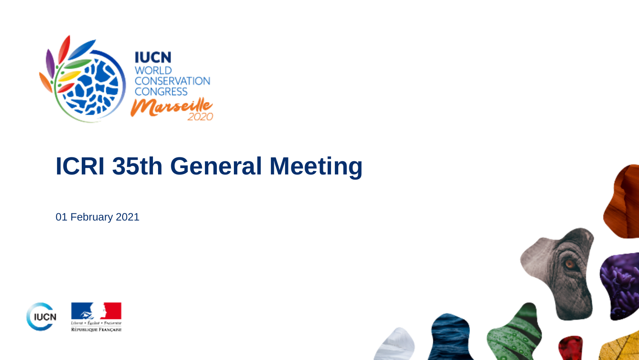

# **ICRI 35th General Meeting**

01 February 2021



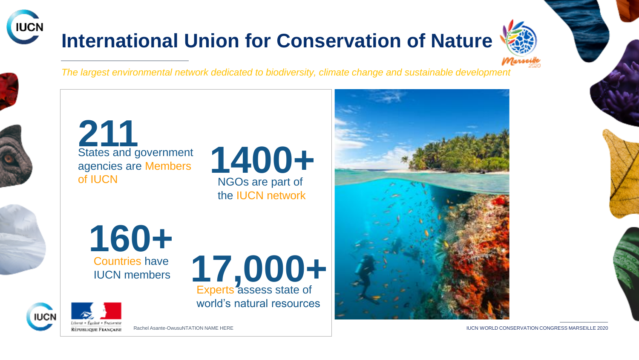# **International Union for Conservation of Nature**



*The largest environmental network dedicated to biodiversity, climate change and sustainable development*



**IUCN** 

States and government agencies are Members of IUCN **211**



Experts assess state of **17,000+**

world's natural resources



Countries have IUCN members **160+**



Rachel Asante-OwusuNTATION NAME HERE **in the conservation conservation conservation conservation conservation conservation conservation conservation conservation conservation conservation conservation conservation conserva**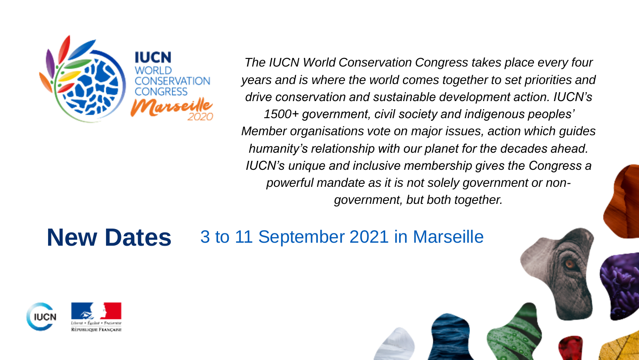

*The IUCN World Conservation Congress takes place every four years and is where the world comes together to set priorities and drive conservation and sustainable development action. IUCN's 1500+ government, civil society and indigenous peoples' Member organisations vote on major issues, action which guides humanity's relationship with our planet for the decades ahead. IUCN's unique and inclusive membership gives the Congress a powerful mandate as it is not solely government or nongovernment, but both together.*

# **New Dates** 3 to 11 September 2021 in Marseille

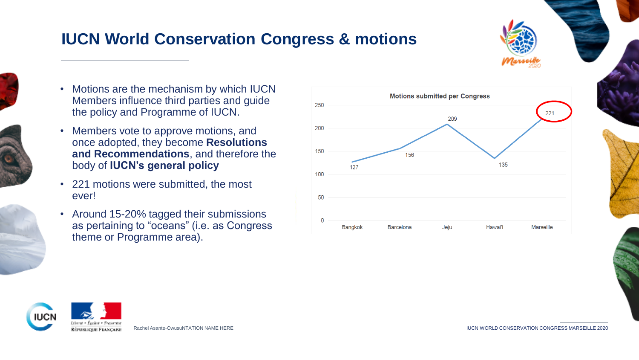### **IUCN World Conservation Congress & motions**





- 
- 
- Motions are the mechanism by which IUCN Members influence third parties and guide the policy and Programme of IUCN.
- Members vote to approve motions, and once adopted, they become **Resolutions and Recommendations**, and therefore the body of **IUCN's general policy**
- 221 motions were submitted, the most ever!
- Around 15-20% tagged their submissions as pertaining to "oceans" (i.e. as Congress theme or Programme area).





Rachel Asante-OwusuNTATION NAME HERE **Internal assets and the second conservation** conservation Congress MARSEILLE 2020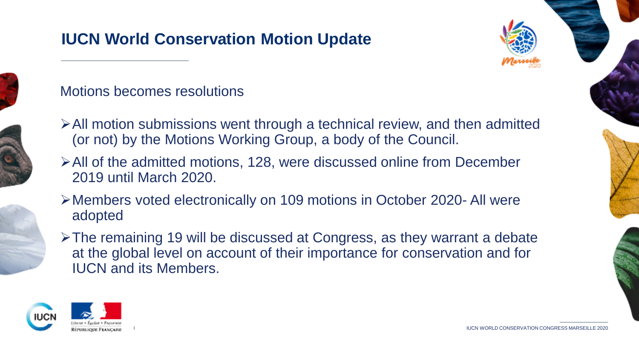## **IUCN World Conservation Motion Update**





#### Motions becomes resolutions

- All motion submissions went through a technical review, and then admitted (or not) by the Motions Working Group, a body of the Council.
- All of the admitted motions, 128, were discussed online from December 2019 until March 2020.
- Members voted electronically on 109 motions in October 2020- All were adopted
- The remaining 19 will be discussed at Congress, as they warrant a debate at the global level on account of their importance for conservation and for IUCN and its Members.

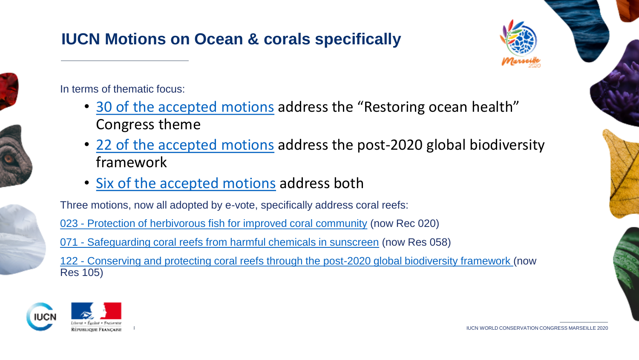## **IUCN Motions on Ocean & corals specifically**













In terms of thematic focus:

- [30 of the accepted motions](https://www.iucncongress2020.org/assembly/motions?id=&title=&congress=3) address the "Restoring ocean health" Congress theme
- [22 of the accepted motions](https://www.iucncongress2020.org/assembly/motions?id=&title=&congress=All&post%5B%5D=9) address the post-2020 global biodiversity framework
- [Six of the accepted motions](https://www.iucncongress2020.org/assembly/motions?id=&title=&congress=3&post%5B%5D=9) address both

Three motions, now all adopted by e-vote, specifically address coral reefs:

023 - [Protection of herbivorous fish for improved coral community](https://www.iucncongress2020.org/motion/023) (now Rec 020)

071 - [Safeguarding coral reefs from harmful chemicals in sunscreen](https://www.iucncongress2020.org/motion/071) (now Res 058)

122 - [Conserving and protecting coral reefs through the post-2020 global biodiversity framework](https://www.iucncongress2020.org/motion/122) (now Res 105)



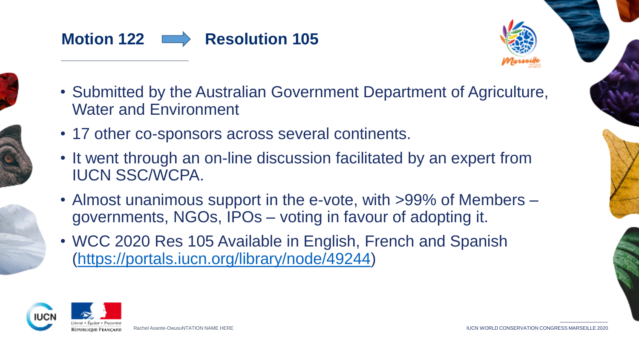





- Submitted by the Australian Government Department of Agriculture, Water and Environment
- 17 other co-sponsors across several continents.
- It went through an on-line discussion facilitated by an expert from IUCN SSC/WCPA.
- Almost unanimous support in the e-vote, with >99% of Members governments, NGOs, IPOs – voting in favour of adopting it.
- WCC 2020 Res 105 Available in English, French and Spanish [\(https://portals.iucn.org/library/node/49244\)](https://portals.iucn.org/library/node/49244)

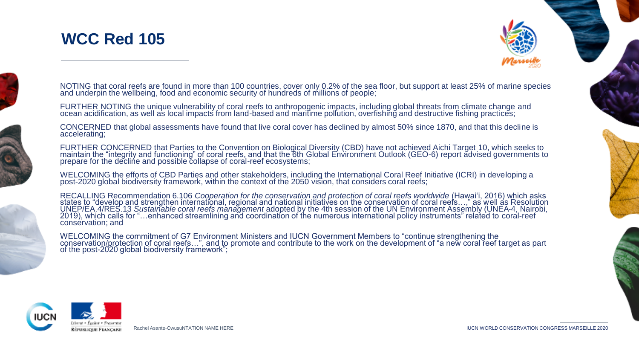





NOTING that coral reefs are found in more than 100 countries, cover only 0.2% of the sea floor, but support at least 25% of marine species<br>and underpin the wellbeing, food and economic security of hundreds of millions of p

FURTHER NOTING the unique vulnerability of coral reefs to anthropogenic impacts, including global threats from climate change and<br>ocean acidification, as well as local impacts from land-based and maritime pollution, overfi

CONCERNED that global assessments have found that live coral cover has declined by almost 50% since 1870, and that this decline is accelerating;

FURTHER CONCERNED that Parties to the Convention on Biological Diversity (CBD) have not achieved Aichi Target 10, which seeks to<br>maintain the "integrity and functioning" of coral reefs, and that the 6th Global Environment

WELCOMING the efforts of CBD Parties and other stakeholders, including the International Coral Reef Initiative (ICRI) in developing a<br>post-2020 global biodiversity framework, within the context of the 2050 vision, that con

RECALLING Recommendation 6.106 *Cooperation for the conservation and protection of coral reefs worldwide* (Hawaiʻi, 2016) which asks<br>states to "develop and strengthen international, regional and national initiatives on the consérvation; and

WELCOMING the commitment of G7 Environment Ministers and IUCN Government Members to "continue strengthening the<br>conservatio<u>n/pr</u>otection of coral reefs…", and to promote and contribute to the work on the development of "a of the post-2020 global biodiversity framework";

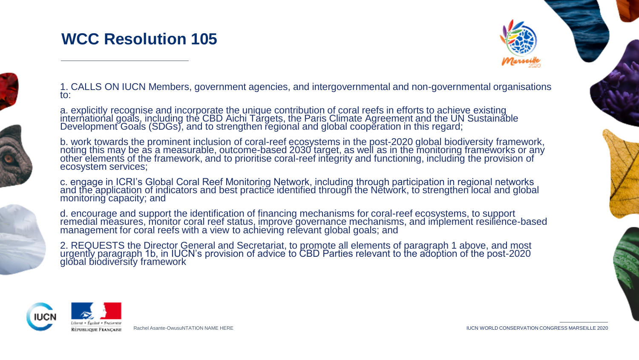### **WCC Resolution 105**





1. CALLS ON IUCN Members, government agencies, and intergovernmental and non-governmental organisations to:

a. explicitly recognise and incorporate the unique contribution of coral reefs in efforts to achieve existing international goals, including the CBD Aichi Targets, the Paris Climate Agreement and the UN Sustainable Development Goals (SDGs), and to strengthen regional and global cooperation in this regard;

b. work towards the prominent inclusion of coral-reef ecosystems in the post-2020 global biodiversity framework, noting this may be as a measurable, outcome-based 2030 target, as well as in the monitoring frameworks or any other elements of the framework, and to prioritise coral-reef integrity and functioning, including the provision of ecosystem services;

c. engage in ICRI's Global Coral Reef Monitoring Network, including through participation in regional networks and the application of indicators and best practice identified through the Network, to strengthen local and global monitoring capacity; and

d. encourage and support the identification of financing mechanisms for coral-reef ecosystems, to support remedial measures, monitor coral reef status, improve governance mechanisms, and implement resilience-based management for coral reefs with a view to achieving relevant global goals; and

2. REQUESTS the Director General and Secretariat, to promote all elements of paragraph 1 above, and most urgently paragraph 1b, in IUCN's provision of advice to CBD Parties relevant to the adoption of the post-2020 global biodiversity framework

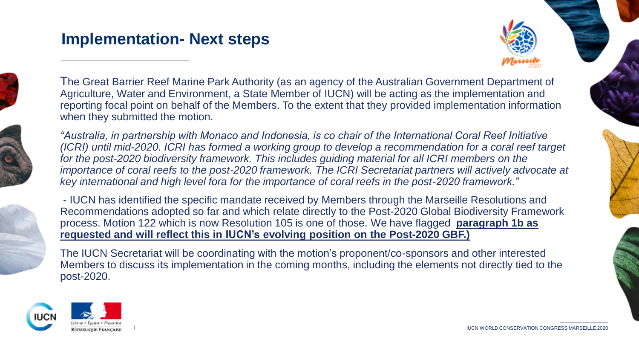#### **Implementation- Next steps**





The Great Barrier Reef Marine Park Authority (as an agency of the Australian Government Department of Agriculture, Water and Environment, a State Member of IUCN) will be acting as the implementation and reporting focal point on behalf of the Members. To the extent that they provided implementation information when they submitted the motion.



*"Australia, in partnership with Monaco and Indonesia, is co chair of the International Coral Reef Initiative (ICRI) until mid-2020. ICRI has formed a working group to develop a recommendation for a coral reef target*  for the post-2020 biodiversity framework. This includes guiding material for all ICRI members on the importance of coral reefs to the post-2020 framework. The ICRI Secretariat partners will actively advocate at *key international and high level fora for the importance of coral reefs in the post-2020 framework."*

- IUCN has identified the specific mandate received by Members through the Marseille Resolutions and Recommendations adopted so far and which relate directly to the Post-2020 Global Biodiversity Framework process. Motion 122 which is now Resolution 105 is one of those. We have flagged **paragraph 1b as requested and will reflect this in IUCN's evolving position on the Post-2020 GBF.)** 

The IUCN Secretariat will be coordinating with the motion's proponent/co-sponsors and other interested Members to discuss its implementation in the coming months, including the elements not directly tied to the post-2020.